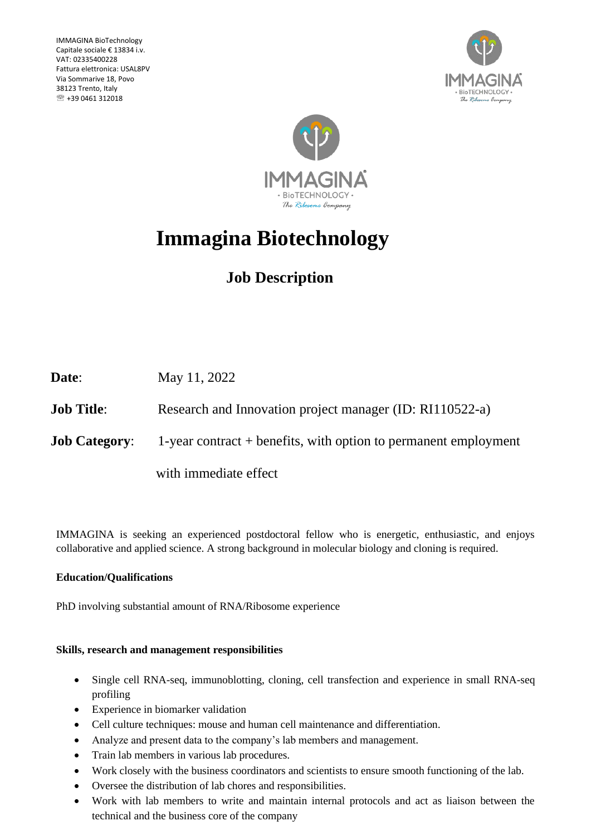IMMAGINA BioTechnology Capitale sociale € 13834 i.v. VAT: 02335400228 Fattura elettronica: USAL8PV Via Sommarive 18, Povo 38123 Trento, Italy  $\textcircled{R}$  +39 0461 312018





# **Immagina Biotechnology**

## **Job Description**

| Date:                | May 11, 2022                                                      |
|----------------------|-------------------------------------------------------------------|
| <b>Job Title:</b>    | Research and Innovation project manager (ID: RI110522-a)          |
| <b>Job Category:</b> | 1-year contract $+$ benefits, with option to permanent employment |
|                      | with immediate effect                                             |

IMMAGINA is seeking an experienced postdoctoral fellow who is energetic, enthusiastic, and enjoys collaborative and applied science. A strong background in molecular biology and cloning is required.

### **Education/Qualifications**

PhD involving substantial amount of RNA/Ribosome experience

#### **Skills, research and management responsibilities**

- Single cell RNA-seq, immunoblotting, cloning, cell transfection and experience in small RNA-seq profiling
- Experience in biomarker validation
- Cell culture techniques: mouse and human cell maintenance and differentiation.
- Analyze and present data to the company's lab members and management.
- Train lab members in various lab procedures.
- Work closely with the business coordinators and scientists to ensure smooth functioning of the lab.
- Oversee the distribution of lab chores and responsibilities.
- Work with lab members to write and maintain internal protocols and act as liaison between the technical and the business core of the company